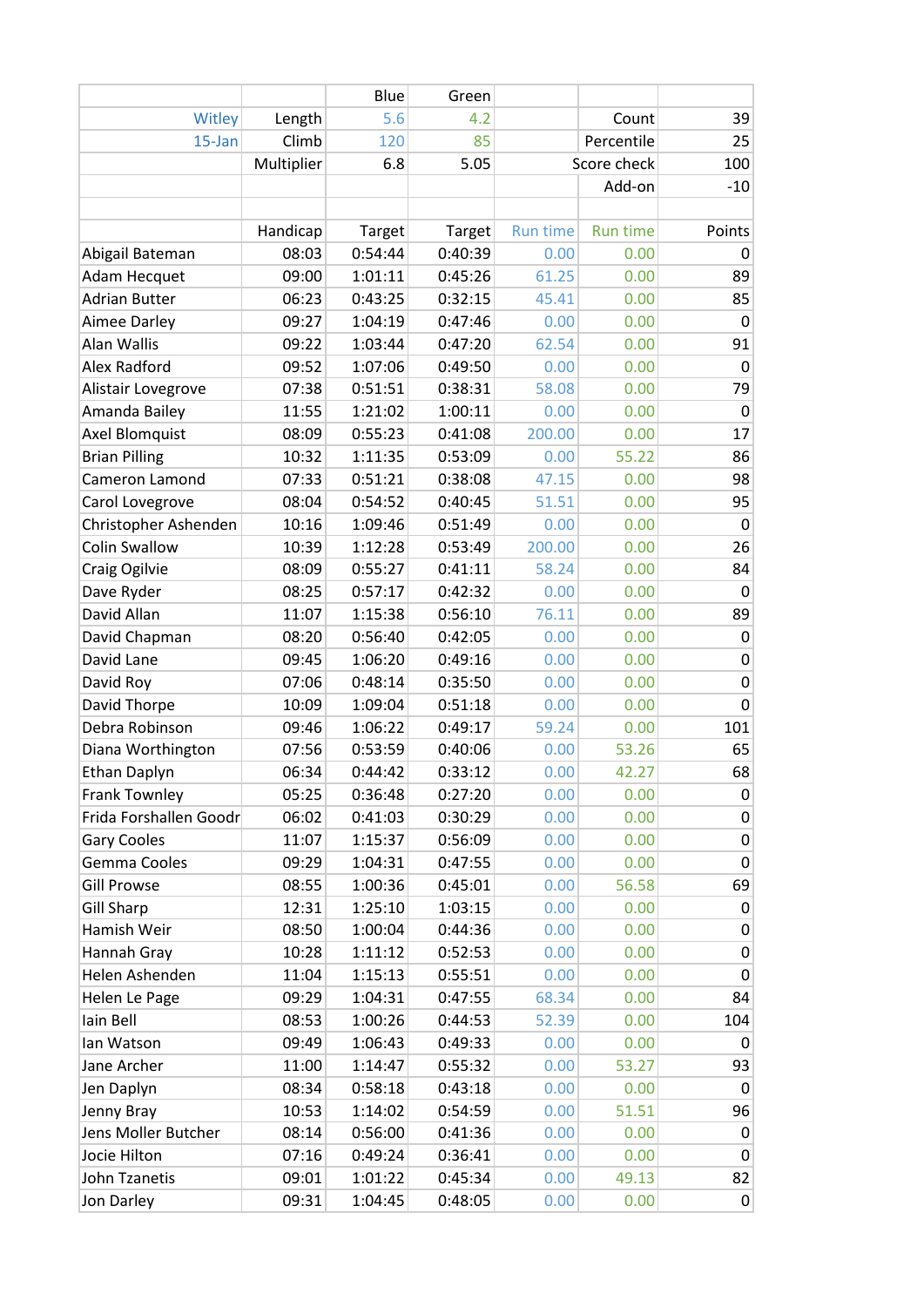|                        |            | Blue    | Green   |                 |                 |                  |
|------------------------|------------|---------|---------|-----------------|-----------------|------------------|
| Witley                 | Length     | 5.6     | 4.2     |                 | Count           | 39               |
| 15-Jan                 | Climb      | 120     | 85      |                 | Percentile      | 25               |
|                        | Multiplier | 6.8     | 5.05    |                 | Score check     | 100              |
|                        |            |         |         |                 | Add-on          | $-10$            |
|                        |            |         |         |                 |                 |                  |
|                        | Handicap   | Target  | Target  | <b>Run time</b> | <b>Run time</b> | Points           |
| Abigail Bateman        | 08:03      | 0:54:44 | 0:40:39 | 0.00            | 0.00            | 0                |
| Adam Hecquet           | 09:00      | 1:01:11 | 0:45:26 | 61.25           | 0.00            | 89               |
| <b>Adrian Butter</b>   | 06:23      | 0:43:25 | 0:32:15 | 45.41           | 0.00            | 85               |
| Aimee Darley           | 09:27      | 1:04:19 | 0:47:46 | 0.00            | 0.00            | 0                |
| Alan Wallis            | 09:22      | 1:03:44 | 0:47:20 | 62.54           | 0.00            | 91               |
| Alex Radford           | 09:52      | 1:07:06 | 0:49:50 | 0.00            | 0.00            | 0                |
| Alistair Lovegrove     | 07:38      | 0:51:51 | 0:38:31 | 58.08           | 0.00            | 79               |
| Amanda Bailey          | 11:55      | 1:21:02 | 1:00:11 | 0.00            | 0.00            | $\mathbf 0$      |
| <b>Axel Blomquist</b>  | 08:09      | 0:55:23 | 0:41:08 | 200.00          | 0.00            | 17               |
| <b>Brian Pilling</b>   | 10:32      | 1:11:35 | 0:53:09 | 0.00            | 55.22           | 86               |
| Cameron Lamond         | 07:33      | 0:51:21 | 0:38:08 | 47.15           | 0.00            | 98               |
| Carol Lovegrove        | 08:04      | 0:54:52 | 0:40:45 | 51.51           | 0.00            | 95               |
| Christopher Ashenden   | 10:16      | 1:09:46 | 0:51:49 | 0.00            | 0.00            | 0                |
| <b>Colin Swallow</b>   | 10:39      | 1:12:28 | 0:53:49 | 200.00          | 0.00            | 26               |
| Craig Ogilvie          | 08:09      | 0:55:27 | 0:41:11 | 58.24           | 0.00            | 84               |
| Dave Ryder             | 08:25      | 0:57:17 | 0:42:32 | 0.00            | 0.00            | 0                |
| David Allan            | 11:07      | 1:15:38 | 0:56:10 | 76.11           | 0.00            | 89               |
| David Chapman          | 08:20      | 0:56:40 | 0:42:05 | 0.00            | 0.00            | 0                |
| David Lane             | 09:45      | 1:06:20 | 0:49:16 | 0.00            | 0.00            | $\pmb{0}$        |
| David Roy              | 07:06      | 0:48:14 | 0:35:50 | 0.00            | 0.00            | $\pmb{0}$        |
| David Thorpe           | 10:09      | 1:09:04 | 0:51:18 | 0.00            | 0.00            | $\pmb{0}$        |
| Debra Robinson         | 09:46      | 1:06:22 | 0:49:17 | 59.24           | 0.00            | 101              |
| Diana Worthington      | 07:56      | 0:53:59 | 0:40:06 | 0.00            | 53.26           | 65               |
| Ethan Daplyn           | 06:34      | 0:44:42 | 0:33:12 | 0.00            | 42.27           | 68               |
| <b>Frank Townley</b>   | 05:25      | 0:36:48 | 0:27:20 | 0.00            | 0.00            | 0                |
| Frida Forshallen Goodr | 06:02      | 0:41:03 | 0:30:29 | 0.00            | 0.00            | 0                |
| <b>Gary Cooles</b>     | 11:07      | 1:15:37 | 0:56:09 | 0.00            | 0.00            | 0                |
| Gemma Cooles           | 09:29      | 1:04:31 | 0:47:55 | 0.00            | 0.00            | $\boldsymbol{0}$ |
| <b>Gill Prowse</b>     | 08:55      | 1:00:36 | 0:45:01 | 0.00            | 56.58           | 69               |
| <b>Gill Sharp</b>      | 12:31      | 1:25:10 | 1:03:15 | 0.00            | 0.00            | 0                |
| Hamish Weir            | 08:50      | 1:00:04 | 0:44:36 | 0.00            | 0.00            | $\pmb{0}$        |
| Hannah Gray            | 10:28      | 1:11:12 | 0:52:53 | 0.00            | 0.00            | $\pmb{0}$        |
| Helen Ashenden         | 11:04      | 1:15:13 | 0:55:51 | 0.00            | 0.00            | $\pmb{0}$        |
| Helen Le Page          | 09:29      | 1:04:31 | 0:47:55 | 68.34           | 0.00            | 84               |
| Iain Bell              | 08:53      | 1:00:26 | 0:44:53 | 52.39           | 0.00            | 104              |
| lan Watson             | 09:49      | 1:06:43 | 0:49:33 | 0.00            | 0.00            | $\mathbf 0$      |
| Jane Archer            | 11:00      | 1:14:47 | 0:55:32 | 0.00            | 53.27           | 93               |
| Jen Daplyn             | 08:34      | 0:58:18 | 0:43:18 | 0.00            | 0.00            | $\pmb{0}$        |
| Jenny Bray             | 10:53      | 1:14:02 | 0:54:59 | 0.00            | 51.51           | 96               |
| Jens Moller Butcher    | 08:14      | 0:56:00 | 0:41:36 | 0.00            | 0.00            | 0                |
| Jocie Hilton           | 07:16      | 0:49:24 | 0:36:41 | 0.00            | 0.00            | $\pmb{0}$        |
| John Tzanetis          | 09:01      | 1:01:22 | 0:45:34 | 0.00            | 49.13           | 82               |
| Jon Darley             | 09:31      | 1:04:45 | 0:48:05 | 0.00            | 0.00            | $\mathbf 0$      |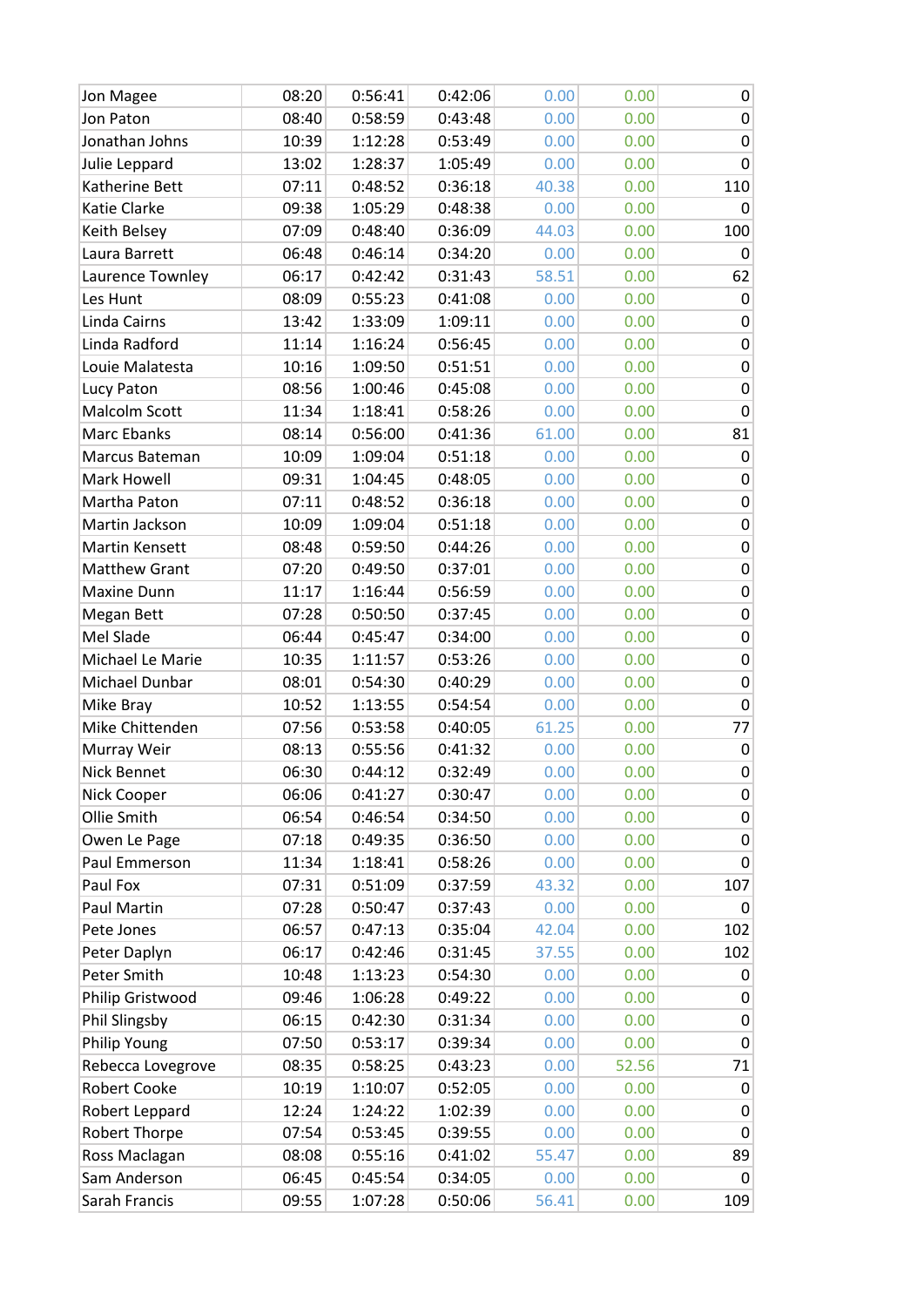| Jon Magee            | 08:20 | 0:56:41 | 0:42:06 | 0.00  | 0.00  | 0                |
|----------------------|-------|---------|---------|-------|-------|------------------|
| Jon Paton            | 08:40 | 0:58:59 | 0:43:48 | 0.00  | 0.00  | $\pmb{0}$        |
| Jonathan Johns       | 10:39 | 1:12:28 | 0:53:49 | 0.00  | 0.00  | $\boldsymbol{0}$ |
| Julie Leppard        | 13:02 | 1:28:37 | 1:05:49 | 0.00  | 0.00  | 0                |
| Katherine Bett       | 07:11 | 0:48:52 | 0:36:18 | 40.38 | 0.00  | 110              |
| Katie Clarke         | 09:38 | 1:05:29 | 0:48:38 | 0.00  | 0.00  | 0                |
| Keith Belsey         | 07:09 | 0:48:40 | 0:36:09 | 44.03 | 0.00  | 100              |
| Laura Barrett        | 06:48 | 0:46:14 | 0:34:20 | 0.00  | 0.00  | $\mathbf 0$      |
| Laurence Townley     | 06:17 | 0:42:42 | 0:31:43 | 58.51 | 0.00  | 62               |
| Les Hunt             | 08:09 | 0:55:23 | 0:41:08 | 0.00  | 0.00  | 0                |
| Linda Cairns         | 13:42 | 1:33:09 | 1:09:11 | 0.00  | 0.00  | $\pmb{0}$        |
| Linda Radford        | 11:14 | 1:16:24 | 0:56:45 | 0.00  | 0.00  | $\pmb{0}$        |
| Louie Malatesta      | 10:16 | 1:09:50 | 0:51:51 | 0.00  | 0.00  | $\boldsymbol{0}$ |
| Lucy Paton           | 08:56 | 1:00:46 | 0:45:08 | 0.00  | 0.00  | $\pmb{0}$        |
| Malcolm Scott        | 11:34 | 1:18:41 | 0:58:26 | 0.00  | 0.00  | 0                |
| Marc Ebanks          | 08:14 | 0:56:00 | 0:41:36 | 61.00 | 0.00  | 81               |
| Marcus Bateman       | 10:09 | 1:09:04 | 0:51:18 | 0.00  | 0.00  | 0                |
| Mark Howell          | 09:31 | 1:04:45 | 0:48:05 | 0.00  | 0.00  | $\pmb{0}$        |
| Martha Paton         | 07:11 | 0:48:52 | 0:36:18 | 0.00  | 0.00  | 0                |
| Martin Jackson       | 10:09 | 1:09:04 | 0:51:18 | 0.00  | 0.00  | 0                |
| Martin Kensett       | 08:48 | 0:59:50 | 0:44:26 | 0.00  | 0.00  | $\pmb{0}$        |
| <b>Matthew Grant</b> | 07:20 | 0:49:50 | 0:37:01 | 0.00  | 0.00  | $\boldsymbol{0}$ |
| Maxine Dunn          | 11:17 | 1:16:44 | 0:56:59 | 0.00  | 0.00  | $\boldsymbol{0}$ |
| Megan Bett           | 07:28 | 0:50:50 | 0:37:45 | 0.00  | 0.00  | $\pmb{0}$        |
| Mel Slade            | 06:44 | 0:45:47 | 0:34:00 | 0.00  | 0.00  | $\pmb{0}$        |
| Michael Le Marie     | 10:35 | 1:11:57 | 0:53:26 | 0.00  | 0.00  | $\pmb{0}$        |
| Michael Dunbar       | 08:01 | 0:54:30 | 0:40:29 | 0.00  | 0.00  | $\boldsymbol{0}$ |
| Mike Bray            | 10:52 | 1:13:55 | 0:54:54 | 0.00  | 0.00  | $\pmb{0}$        |
| Mike Chittenden      | 07:56 | 0:53:58 | 0:40:05 | 61.25 | 0.00  | 77               |
| Murray Weir          | 08:13 | 0:55:56 | 0:41:32 | 0.00  | 0.00  | $\pmb{0}$        |
| Nick Bennet          | 06:30 | 0:44:12 | 0:32:49 | 0.00  | 0.00  | 0                |
| Nick Cooper          | 06:06 | 0:41:27 | 0:30:47 | 0.00  | 0.00  | 0                |
| Ollie Smith          | 06:54 | 0:46:54 | 0:34:50 | 0.00  | 0.00  | 0                |
| Owen Le Page         | 07:18 | 0:49:35 | 0:36:50 | 0.00  | 0.00  | 0                |
| Paul Emmerson        | 11:34 | 1:18:41 | 0:58:26 | 0.00  | 0.00  | $\pmb{0}$        |
| Paul Fox             | 07:31 | 0:51:09 | 0:37:59 | 43.32 | 0.00  | 107              |
| Paul Martin          | 07:28 | 0:50:47 | 0:37:43 | 0.00  | 0.00  | $\mathbf 0$      |
| Pete Jones           | 06:57 | 0:47:13 | 0:35:04 | 42.04 | 0.00  | 102              |
| Peter Daplyn         | 06:17 | 0:42:46 | 0:31:45 | 37.55 | 0.00  | 102              |
| Peter Smith          | 10:48 | 1:13:23 | 0:54:30 | 0.00  | 0.00  | 0                |
| Philip Gristwood     | 09:46 | 1:06:28 | 0:49:22 | 0.00  | 0.00  | 0                |
| Phil Slingsby        | 06:15 | 0:42:30 | 0:31:34 | 0.00  | 0.00  | 0                |
| Philip Young         | 07:50 | 0:53:17 | 0:39:34 | 0.00  | 0.00  | $\pmb{0}$        |
| Rebecca Lovegrove    | 08:35 | 0:58:25 | 0:43:23 | 0.00  | 52.56 | 71               |
| <b>Robert Cooke</b>  | 10:19 | 1:10:07 | 0:52:05 | 0.00  | 0.00  | 0                |
| Robert Leppard       | 12:24 | 1:24:22 | 1:02:39 | 0.00  | 0.00  | 0                |
| Robert Thorpe        | 07:54 | 0:53:45 | 0:39:55 | 0.00  | 0.00  | 0                |
| Ross Maclagan        | 08:08 | 0:55:16 | 0:41:02 | 55.47 | 0.00  | 89               |
| Sam Anderson         | 06:45 | 0:45:54 | 0:34:05 | 0.00  | 0.00  | $\pmb{0}$        |
| Sarah Francis        | 09:55 | 1:07:28 | 0:50:06 | 56.41 | 0.00  | 109              |